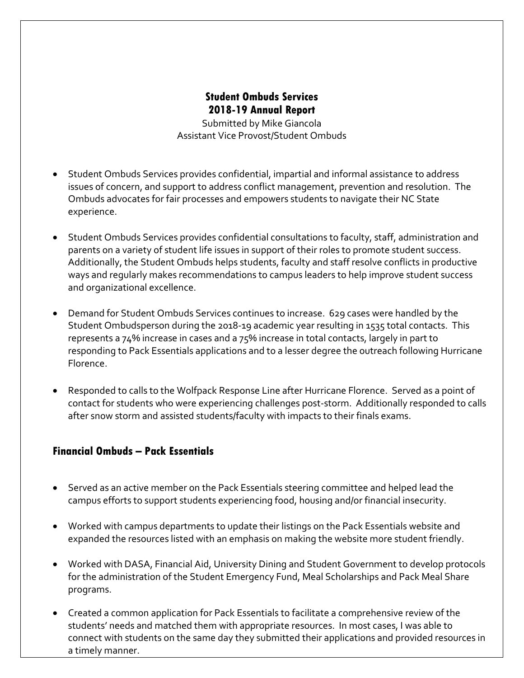# **Student Ombuds Services 2018-19 Annual Report**

Submitted by Mike Giancola Assistant Vice Provost/Student Ombuds

- Student Ombuds Services provides confidential, impartial and informal assistance to address issues of concern, and support to address conflict management, prevention and resolution. The Ombuds advocates for fair processes and empowers students to navigate their NC State experience.
- Student Ombuds Services provides confidential consultations to faculty, staff, administration and parents on a variety of student life issues in support of their roles to promote student success. Additionally, the Student Ombuds helps students, faculty and staff resolve conflicts in productive ways and regularly makes recommendations to campus leaders to help improve student success and organizational excellence.
- Demand for Student Ombuds Services continues to increase. 629 cases were handled by the Student Ombudsperson during the 2018-19 academic year resulting in 1535 total contacts. This represents a 74% increase in cases and a 75% increase in total contacts, largely in part to responding to Pack Essentials applications and to a lesser degree the outreach following Hurricane Florence.
- Responded to calls to the Wolfpack Response Line after Hurricane Florence. Served as a point of contact for students who were experiencing challenges post-storm. Additionally responded to calls after snow storm and assisted students/faculty with impacts to their finals exams.

#### **Financial Ombuds – Pack Essentials**

- Served as an active member on the Pack Essentials steering committee and helped lead the campus efforts to support students experiencing food, housing and/or financial insecurity.
- Worked with campus departments to update their listings on the Pack Essentials website and expanded the resources listed with an emphasis on making the website more student friendly.
- Worked with DASA, Financial Aid, University Dining and Student Government to develop protocols for the administration of the Student Emergency Fund, Meal Scholarships and Pack Meal Share programs.
- students' needs and matched them with appropriate resources. In most cases, I was able to • Created a common application for Pack Essentials to facilitate a comprehensive review of the connect with students on the same day they submitted their applications and provided resources in a timely manner.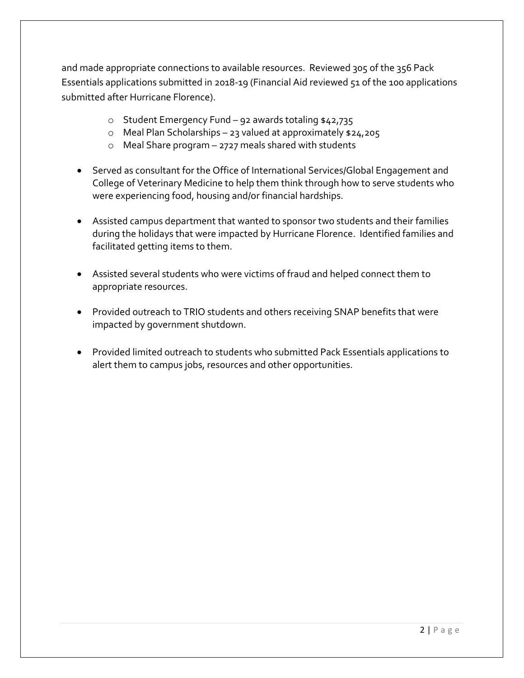and made appropriate connections to available resources. Reviewed 305 of the 356 Pack Essentials applications submitted in 2018-19 (Financial Aid reviewed 51 of the 100 applications submitted after Hurricane Florence).

- o Student Emergency Fund 92 awards totaling \$42,735
- o Meal Plan Scholarships 23 valued at approximately \$24,205
- o Meal Share program 2727 meals shared with students
- Served as consultant for the Office of International Services/Global Engagement and College of Veterinary Medicine to help them think through how to serve students who were experiencing food, housing and/or financial hardships.
- Assisted campus department that wanted to sponsor two students and their families during the holidays that were impacted by Hurricane Florence. Identified families and facilitated getting items to them.
- Assisted several students who were victims of fraud and helped connect them to appropriate resources.
- Provided outreach to TRIO students and others receiving SNAP benefits that were impacted by government shutdown.
- Provided limited outreach to students who submitted Pack Essentials applications to alert them to campus jobs, resources and other opportunities.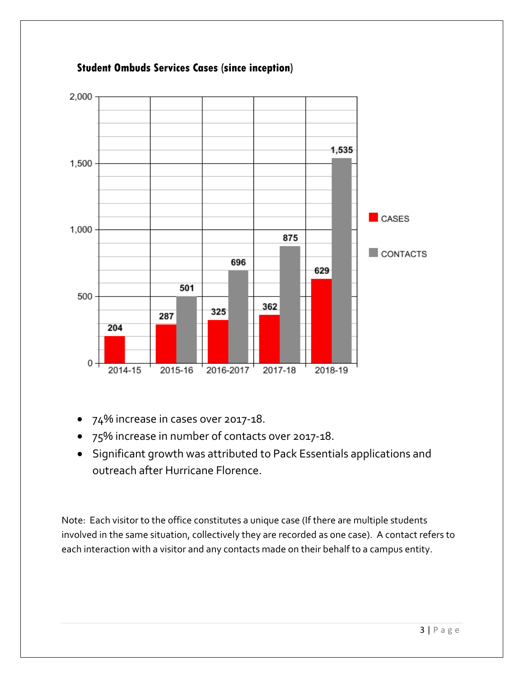

## **Student Ombuds Services Cases (since inception)**

- 74% increase in cases over 2017-18.
- 75% increase in number of contacts over 2017-18.
- Significant growth was attributed to Pack Essentials applications and outreach after Hurricane Florence.

Note: Each visitor to the office constitutes a unique case (If there are multiple students involved in the same situation, collectively they are recorded as one case). A contact refers to each interaction with a visitor and any contacts made on their behalf to a campus entity.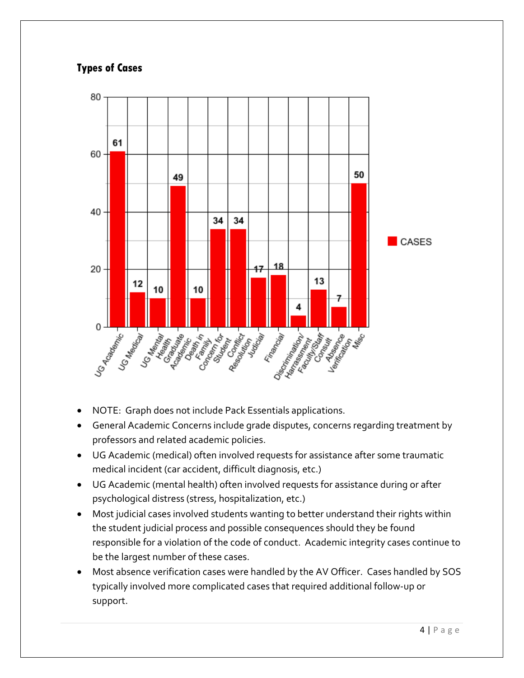# **Types of Cases**



- NOTE: Graph does not include Pack Essentials applications.
- General Academic Concerns include grade disputes, concerns regarding treatment by professors and related academic policies.
- UG Academic (medical) often involved requests for assistance after some traumatic medical incident (car accident, difficult diagnosis, etc.)
- UG Academic (mental health) often involved requests for assistance during or after psychological distress (stress, hospitalization, etc.)
- Most judicial cases involved students wanting to better understand their rights within the student judicial process and possible consequences should they be found responsible for a violation of the code of conduct. Academic integrity cases continue to be the largest number of these cases.
- Most absence verification cases were handled by the AV Officer. Cases handled by SOS typically involved more complicated cases that required additional follow-up or support.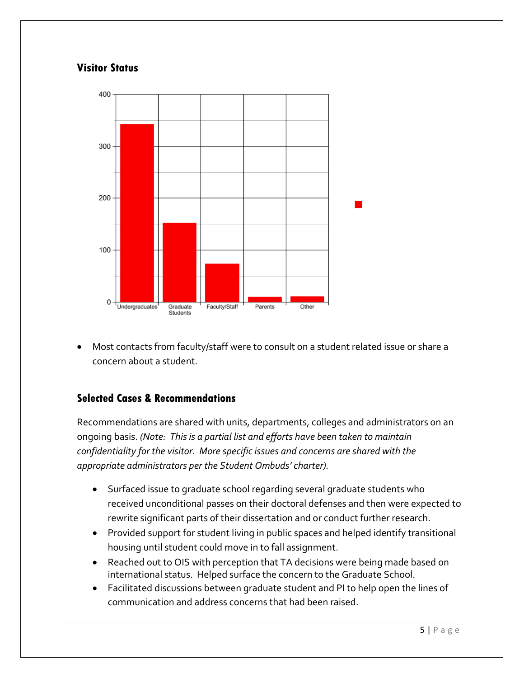# **Visitor Status**



• Most contacts from faculty/staff were to consult on a student related issue or share a concern about a student.

## **Selected Cases & Recommendations**

Recommendations are shared with units, departments, colleges and administrators on an ongoing basis. *(Note: This is a partial list and efforts have been taken to maintain confidentiality for the visitor. More specific issues and concerns are shared with the appropriate administrators per the Student Ombuds' charter).*

- Surfaced issue to graduate school regarding several graduate students who received unconditional passes on their doctoral defenses and then were expected to rewrite significant parts of their dissertation and or conduct further research.
- Provided support for student living in public spaces and helped identify transitional housing until student could move in to fall assignment.
- Reached out to OIS with perception that TA decisions were being made based on international status. Helped surface the concern to the Graduate School.
- Facilitated discussions between graduate student and PI to help open the lines of communication and address concerns that had been raised.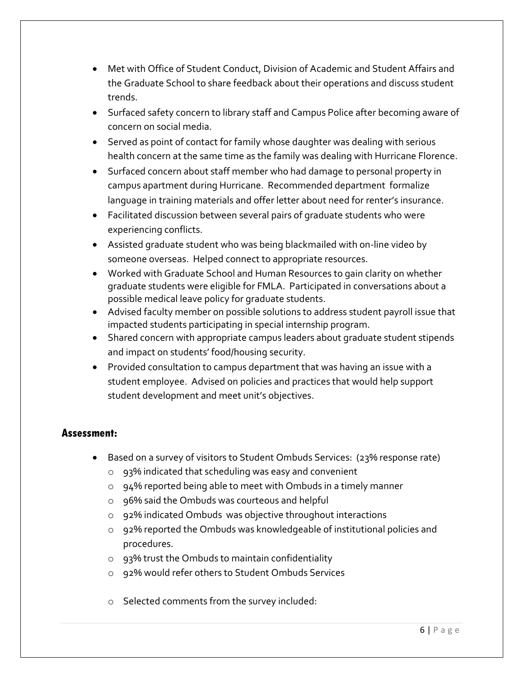- Met with Office of Student Conduct, Division of Academic and Student Affairs and the Graduate School to share feedback about their operations and discuss student trends.
- Surfaced safety concern to library staff and Campus Police after becoming aware of concern on social media.
- Served as point of contact for family whose daughter was dealing with serious health concern at the same time as the family was dealing with Hurricane Florence.
- Surfaced concern about staff member who had damage to personal property in campus apartment during Hurricane. Recommended department formalize language in training materials and offer letter about need for renter's insurance.
- Facilitated discussion between several pairs of graduate students who were experiencing conflicts.
- Assisted graduate student who was being blackmailed with on-line video by someone overseas. Helped connect to appropriate resources.
- Worked with Graduate School and Human Resources to gain clarity on whether graduate students were eligible for FMLA. Participated in conversations about a possible medical leave policy for graduate students.
- Advised faculty member on possible solutions to address student payroll issue that impacted students participating in special internship program.
- Shared concern with appropriate campus leaders about graduate student stipends and impact on students' food/housing security.
- Provided consultation to campus department that was having an issue with a student employee. Advised on policies and practices that would help support student development and meet unit's objectives.

## **Assessment:**

- Based on a survey of visitors to Student Ombuds Services: (23% response rate)
	- o 93% indicated that scheduling was easy and convenient
	- o 94% reported being able to meet with Ombuds in a timely manner
	- o 96% said the Ombuds was courteous and helpful
	- o 92% indicated Ombuds was objective throughout interactions
	- o 92% reported the Ombuds was knowledgeable of institutional policies and procedures.
	- o 93% trust the Ombuds to maintain confidentiality
	- o 92% would refer others to Student Ombuds Services
	- o Selected comments from the survey included: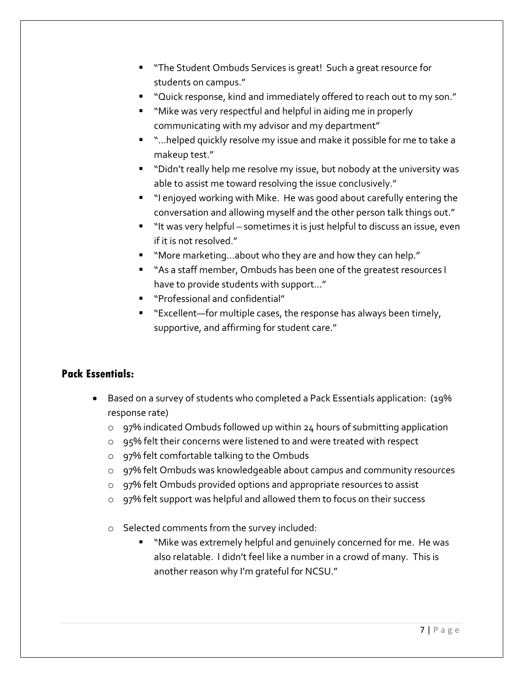- **The Student Ombuds Services is great! Such a great resource for** students on campus."
- "Quick response, kind and immediately offered to reach out to my son."
- "Mike was very respectful and helpful in aiding me in properly communicating with my advisor and my department"
- "…helped quickly resolve my issue and make it possible for me to take a makeup test."
- " "Didn't really help me resolve my issue, but nobody at the university was able to assist me toward resolving the issue conclusively."
- "I enjoyed working with Mike. He was good about carefully entering the conversation and allowing myself and the other person talk things out."
- " "It was very helpful sometimes it is just helpful to discuss an issue, even if it is not resolved."
- "More marketing...about who they are and how they can help."
- "As a staff member, Ombuds has been one of the greatest resources I have to provide students with support…"
- "Professional and confidential"
- "Excellent—for multiple cases, the response has always been timely, supportive, and affirming for student care."

#### **Pack Essentials:**

- Based on a survey of students who completed a Pack Essentials application: (19% response rate)
	- $\circ$  97% indicated Ombuds followed up within 24 hours of submitting application
	- o 95% felt their concerns were listened to and were treated with respect
	- o 97% felt comfortable talking to the Ombuds
	- o 97% felt Ombuds was knowledgeable about campus and community resources
	- o 97% felt Ombuds provided options and appropriate resources to assist
	- o 97% felt support was helpful and allowed them to focus on their success
	- o Selected comments from the survey included:
		- "Mike was extremely helpful and genuinely concerned for me. He was also relatable. I didn't feel like a number in a crowd of many. This is another reason why I'm grateful for NCSU."